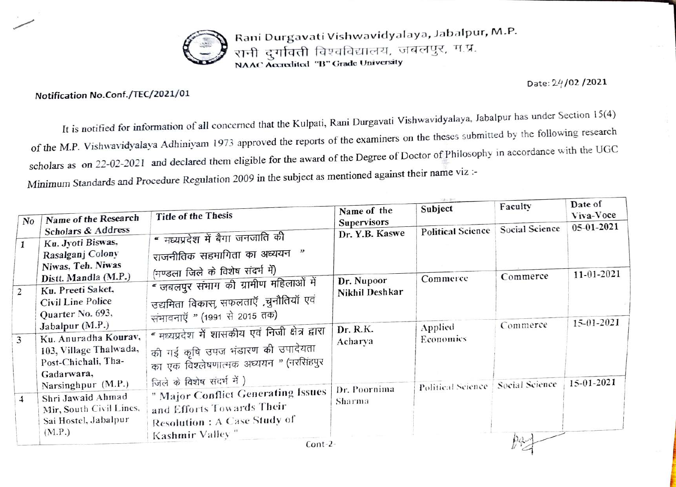

Rani Durgavati Vishwavidyalaya, Jabalpur, M.P. रानी दुर्गावती विश्वविद्यालय, जबलपुर, म.प्र. NAAC Accredited "B" Grade University

Date: 24/02 /2021

Notification No.Conf./TEC/2021/01

It is notified for information of all concerned that the Kulpati, Rani Durgavati Vishwavidyalaya, Jabalpur has under Section 15(4) of the M.P. Vishwavidyalaya Adhiniyam 1973 approved the reports of the examiners on the theses submitted by the following research scholars as on 22-02-2021 and declared them eligible for the award of the Degree of Doctor of Philosophy in accordance with the UGC Minimum Standards and Procedure Regulation 2009 in the subject as mentioned against their name viz:-

| No             | Name of the Research                                                                                     | <b>Title of the Thesis</b>                                                                                                                                       | Name of the<br>Supervisors   | Subject                  | Faculty               | Date of<br>Viva-Voce |
|----------------|----------------------------------------------------------------------------------------------------------|------------------------------------------------------------------------------------------------------------------------------------------------------------------|------------------------------|--------------------------|-----------------------|----------------------|
| $\mathbf{1}$   | Scholars & Address<br>Ku. Jyoti Biswas,<br>Rasalganj Colony<br>Niwas, Teh. Niwas                         | " मध्यप्रदेश में बैगा जनजाति की<br>राजनीतिक सहभागिता का अध्ययन "                                                                                                 | Dr. Y.B. Kaswe               | <b>Political Science</b> | <b>Social Science</b> | $05 - 01 - 2021$     |
| $\overline{2}$ | Distt. Mandla (M.P.)<br>Ku. Preeti Saket,<br>Civil Line Police<br>Quarter No. 693,                       | (मण्डला जिले के विशेष संदर्भ में)<br>" जबलपुर संभाग की ग्रामीण महिलाओं में<br>उद्यमिता विकास, सफलताएँ ,चुनौतियाँ एवं                                             | Dr. Nupoor<br>Nikhil Deshkar | Commerce                 | Commerce              | 11-01-2021           |
| $\overline{3}$ | Jabalpur $(M.P.)$<br>Ku. Anuradha Kourav,<br>103, Village Thalwada,<br>Post-Chichali, Tha-<br>Gadarwara, | संभावनाएँ " (1991 से 2015 तक)<br>" मध्यप्रदेश में शासकीय एवं निजी क्षेत्र द्वारा<br>की गई कृषि उपज भंडारण की उपादेयता<br>का एक विश्लेषणात्मक अध्ययन " (नरसिंहपुर | Dr. R.K.<br>Acharya          | Applied<br>Economics     | Commerce              | 15-01-2021           |
| $\overline{4}$ | Narsinghpur (M.P.)<br>Shri Jawaid Ahmad<br>Mir, South Civil Lines,<br>Sai Hostel, Jabalpur               | जिले के विशेष संदर्भ में )<br>" Major Conflict Generating Issues<br>and Efforts Towards Their<br><b>Resolution: A Case Study of</b>                              | Dr. Poornima<br>Sharma       | Political Science        | Social Science        | $15-01-2021$         |
|                | (M.P.)                                                                                                   | Kashmir Valley"<br>$Cont-2$ -                                                                                                                                    |                              |                          |                       |                      |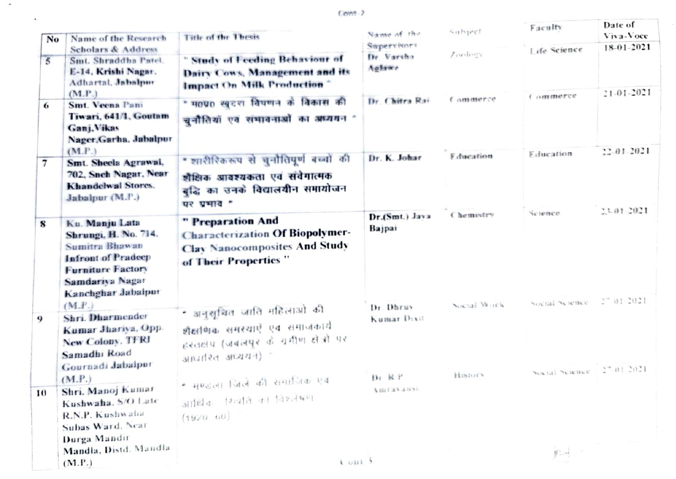Cont-2

 $\sim$ 

 $\mathbf{v}$ 

| No             | Name of the Research                                                                                                                                              | <b>Title of the Thesis</b>                                                                                                   | Name of the                        | Subject                | Faculty                              | Date of<br>Viva-Voce |
|----------------|-------------------------------------------------------------------------------------------------------------------------------------------------------------------|------------------------------------------------------------------------------------------------------------------------------|------------------------------------|------------------------|--------------------------------------|----------------------|
|                | <b>Scholars &amp; Address</b>                                                                                                                                     |                                                                                                                              | Supervisors<br>Dr. Varsha          | $Z$ mology             | Life Science                         | 18-01-2021           |
| $\overline{5}$ | Smt. Shraddha Patel.<br>E-14, Krishi Nagar.<br>Adhartal, Jabalpur                                                                                                 | " Study of Feeding Behaviour of<br>Dairy Cows, Management and its<br>Impact On Milk Production"                              | Aglewa                             |                        |                                      | 21-01-2021           |
| 6              | (M.P.)<br>Smt. Veena Pani<br>Tiwari, 641/1, Goutam<br>Ganj. Vikas<br>Nager, Garha, Jabalpur<br>(M.P.)                                                             | " म0प0 खुदरा विषणन के विकास की<br>चुनौतियों एवं संभावनाओं का अध्ययन "                                                        | Dr. Chitra Rai                     | Commerce               | Commerce                             | $22 - 01 - 2021$     |
| $\overline{7}$ | Smt. Sheela Agrawal.<br>702. Sneh Nagar, Near<br>Khandelwal Stores.<br>Jabalpur (M.P.)                                                                            | " शारीरिकरूप से चुनौतिपूर्ण बच्चों की<br>शैक्षिक आवश्यकता एवं संवेगात्मक<br>बुद्धि का उनके विद्यालयीन समायोजन<br>पर प्रभाव " | Dr. K. Johar                       | <b>Education</b>       | Education                            | 23-01-2021           |
| 8              | Ku. Manju Lata<br>Shrungi, H. No. 714.<br><b>Sumitra Bhawan</b><br><b>Infront of Pradeep</b><br><b>Furniture Factory</b><br>Samdariya Nagar<br>Kanchghar Jabalpur | " Preparation And<br><b>Characterization Of Biopolymer-</b><br><b>Clay Nanocomposites And Study</b><br>of Their Properties"  | Dr.(Smt.) Java<br>Bajpai           | Chemistry              | Science<br>Social Science 27 01:2021 |                      |
| 9              | (M.P.)<br>Shri. Dharmender<br>Kumar Jhariya, Opp.<br>New Colony, TFRI<br>Samadhi Road<br>Gournadi Jabalpur                                                        | • अनुसूचित जाति महिलाओं की<br>शैक्षणिक समस्याएं एवं समाजकार्य<br>हरतहोप (जबलपुर के ग्रमीण होत्रों पर<br>आधारित अध्ययन) "     | Dr. Dhruv<br>Kumar Dixit<br>Dr R P | Social Work<br>History | Social Science 27,01-2021            |                      |
| 10             | (M.P.)<br>Shri, Manoj Kumar<br>Kushwaha, S/O Late<br>R.N.P. Kushwaha<br>Subas Ward, Near<br>Durga Mandir                                                          | • मण्डला चिले की समाजिक एव<br>आर्थिक स्थिति को विश्लेषण<br>$(1920 - 60)$                                                     | Learn Call (B)                     |                        |                                      |                      |
|                | Mandla, Distd. Mandla<br>(M.P.)                                                                                                                                   | $k$ onl $\frac{1}{2}$                                                                                                        |                                    |                        | 机井上                                  |                      |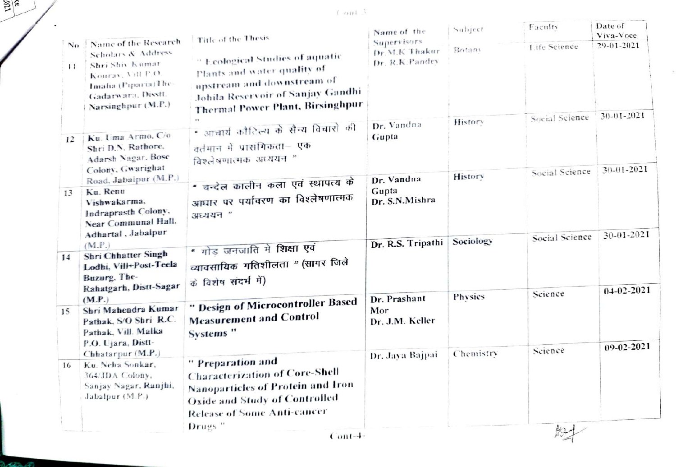$\ell$  and  $\beta$ 

 $\sim$ 

 $\sum_{\infty}$ 

Break and

| Name of the Research<br>Scholars & Address<br>Shri Shiy Kumar<br>Kourav, Vill P.O.<br>Imalia (Piparia) The-<br>Gadarwara, Disstt.<br>Narsinghpur (M.P.)<br>Ku. Uma Armo. C/o<br>Shri D.N. Rathore.<br>Adarsh Nagar, Bose<br>Colony, Gwarighat<br>Road, Jabalpur (M.P.)<br>Ku. Renu | Title of the Thesis<br>" Ecological Studies of aquatic<br>Plants and water quality of<br>upstream and downstream of<br><b>Johila Reservoir of Sanjay Gandhi</b><br><b>Thermal Power Plant, Birsinghpur</b><br>* आचार्य कौटिल्य के सैन्य विचारो की<br>वर्तमान में प्रारांगिकता— एक<br>विश्लेषणात्मकं अध्ययन " | Supervisors<br>Dr.M.K Thakur<br>Dr. R.K.Pandev<br>Dr. Vandna<br>Gupta      | Botany<br>History | Life Science<br>Social Science | 29-01-2021<br>30-01-2021 |
|------------------------------------------------------------------------------------------------------------------------------------------------------------------------------------------------------------------------------------------------------------------------------------|--------------------------------------------------------------------------------------------------------------------------------------------------------------------------------------------------------------------------------------------------------------------------------------------------------------|----------------------------------------------------------------------------|-------------------|--------------------------------|--------------------------|
|                                                                                                                                                                                                                                                                                    |                                                                                                                                                                                                                                                                                                              |                                                                            |                   |                                |                          |
|                                                                                                                                                                                                                                                                                    |                                                                                                                                                                                                                                                                                                              |                                                                            | History           | Social Science                 | $30 - 01 - 2021$         |
| Vishwakarma.<br>Indraprasth Colony.<br>Near Communal Hall.<br>Adhartal , Jabalpur                                                                                                                                                                                                  | * चन्देल कालीन कला एवं स्थापत्य के<br>आघार पर पर्यावरण का विश्लेषणात्मक<br>अध्ययन "                                                                                                                                                                                                                          | Dr. Vandna<br>Gupta<br>Dr. S.N.Mishra                                      |                   |                                |                          |
| (M.P.)<br>Shri Chhatter Singh<br>Lodhi, Vill+Post-Teela<br>Buzurg, The-<br>Rahatgarh, Distt-Sagar                                                                                                                                                                                  | " गोड जनजाति मे शिक्षा एवं<br>व्यावसायिक गतिशीलता " (सागर जिले<br>के विशेष संदर्भ में)                                                                                                                                                                                                                       | Dr. R.S. Tripathi                                                          | Sociology         | Social Science                 | 30-01-2021               |
| (M.P.)<br>Shri Mahendra Kumar<br>Pathak, S/O Shri R.C.<br>Pathak, Vill. Malka<br>P.O. Ujara, Distt-                                                                                                                                                                                | " Design of Microcontroller Based<br><b>Measurement and Control</b><br>Systems"                                                                                                                                                                                                                              | Dr. Prashant<br>Mor<br>Dr. J.M. Keller                                     | Physics           | Science                        | 04-02-2021               |
| Chhatarpur (M.P.)                                                                                                                                                                                                                                                                  | " Preparation and<br><b>Characterization of Core-Shell</b><br><b>Nanoparticles of Protein and Iron</b>                                                                                                                                                                                                       | Dr. Jaya Bajpai                                                            | Chemistry         | Science                        | 09-02-2021               |
|                                                                                                                                                                                                                                                                                    | Ku. Neha Sonkar,<br>364/JDA Colony,<br>Sanjay Nagar, Ranjhi,<br>Jabalpur (M.P.)                                                                                                                                                                                                                              | <b>Oxide and Study of Controlled</b><br><b>Release of Some Anti-cancer</b> |                   |                                | Drugs <sup>"</sup>       |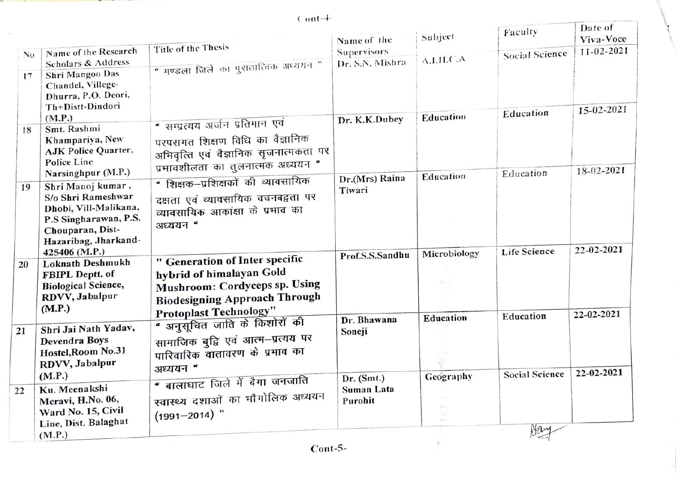$Cont-4-$ 

|    |                                                                                                                                       |                                                                                                                                        | Name of the                           | Subject      | Faculty               | Date of<br>Viva-Voce |
|----|---------------------------------------------------------------------------------------------------------------------------------------|----------------------------------------------------------------------------------------------------------------------------------------|---------------------------------------|--------------|-----------------------|----------------------|
| No | Name of the Research<br>Scholars & Address                                                                                            | Title of the Thesis                                                                                                                    | <b>Supervisors</b><br>Dr. S.N. Mishra | A.I.H.C.A    | Social Science        | 11-02-2021           |
| 17 | Shri Mangoo Das<br>Chandel, Villege-<br>Dhurra, P.O. Deori,<br>Th+Distt-Dindori                                                       | " मण्डला जिले का पुरातात्विक अध्ययन "                                                                                                  |                                       |              | Education             | 15-02-2021           |
| 18 | (M.P.)<br>Smt. Rashmi<br>Khampariya, New<br><b>AJK Police Quarter,</b>                                                                | " सम्प्रत्यय अर्जन प्रतिमान एवं<br>परपरागत शिक्षण विधि का वैज्ञानिक<br>अभिवृत्ति एवं वैज्ञानिक सृजनात्मकता पर                          | Dr. K.K.Dubey                         | Education    |                       |                      |
|    | Police Line<br>Narsinghpur (M.P.)                                                                                                     | प्रभावशीलता का तुलनात्मक अध्ययन "                                                                                                      |                                       | Education    | Education             | 18-02-2021           |
| 19 | Shri Manoj kumar,<br>S/o Shri Rameshwar<br>Dhobi, Vill-Malikana,<br>P.S Singharawan, P.S.<br>Chouparan, Dist-<br>Hazaribag, Jharkand- | " शिक्षक–प्रशिक्षकों की व्यावसायिक<br>दक्षता एवं व्यावसायिक वचनबद्वता पर<br>व्यावसायिक आकांक्षा के प्रभाव का<br>अध्ययन "               | Dr.(Mrs) Raina<br>Tiwari              |              |                       |                      |
|    | 425406 (M.P.)                                                                                                                         | " Generation of Inter specific                                                                                                         | Prof.S.S.Sandhu                       | Microbiology | <b>Life Science</b>   | 22-02-2021           |
| 20 | Loknath Deshmukh<br>FBIPL Deptt. of<br><b>Biological Science,</b><br>RDVV, Jabalpur<br>(M.P.)                                         | hybrid of himalayan Gold<br>Mushroom: Cordyceps sp. Using<br><b>Biodesigning Approach Through</b>                                      |                                       | 7.205        |                       |                      |
| 21 | Shri Jai Nath Yadav,<br><b>Devendra Boys</b><br>Hostel, Room No.31<br>RDVV, Jabalpur                                                  | <b>Protoplast Technology"</b><br>" अनुसूचित जाति के किशोरों की<br>सामाजिक बुद्वि एवं आत्म–प्रत्यय पर<br>पारिवारिक वातावरण के प्रभाव का | Dr. Bhawana<br>Soneji                 | Education    | Education             | 22-02-2021           |
|    | (M.P.)                                                                                                                                | अध्ययन "<br>" बालाघाट जिले में बैगा जनजाति                                                                                             | Dr. (Smt.)                            | Geography    | <b>Social Science</b> | 22-02-2021           |
| 22 | Ku. Meenakshi<br>Meravi, H.No. 06,<br>Ward No. 15, Civil<br>Line, Dist. Balaghat                                                      | स्वास्थ्य दशाओं का मौगोलिक अध्ययन<br>$(1991 - 2014)$ "                                                                                 | Suman Lata<br>Purohit                 | 350          |                       |                      |
|    | (M.P.)                                                                                                                                |                                                                                                                                        |                                       |              | Hany                  |                      |